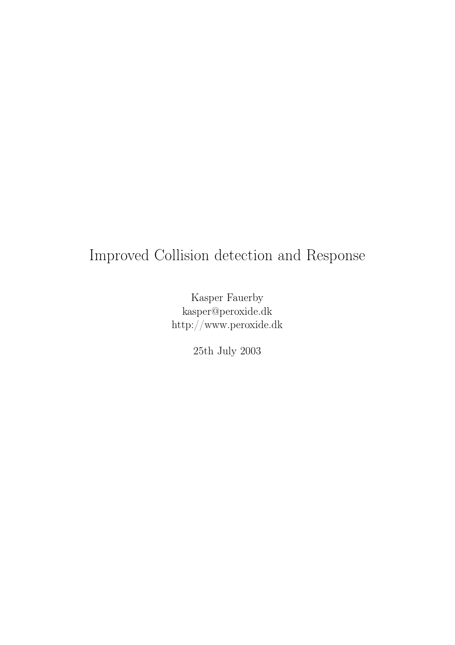### Improved Collision detection and Response

Kasper Fauerby kasper@peroxide.dk http://www.peroxide.dk

25th July 2003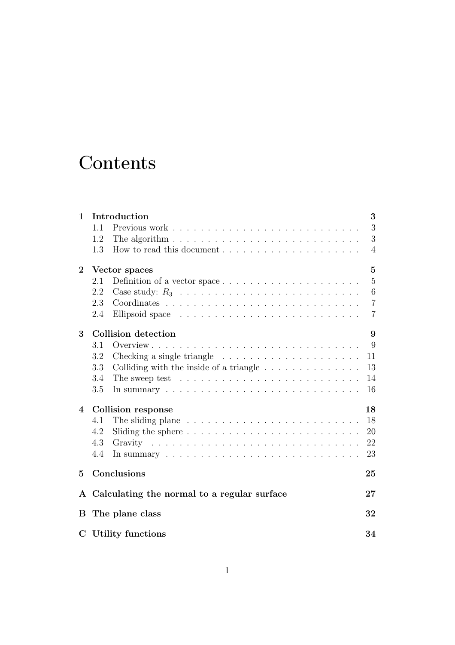# **Contents**

| $\mathbf 1$    | Introduction                                                                              | 3              |
|----------------|-------------------------------------------------------------------------------------------|----------------|
|                | 1.1                                                                                       | 3              |
|                | The algorithm $\ldots \ldots \ldots \ldots \ldots \ldots \ldots \ldots \ldots$<br>1.2     | 3              |
|                | 1.3                                                                                       | 4              |
| $\bf{2}$       | Vector spaces                                                                             | $\overline{5}$ |
|                | 2.1                                                                                       | $\overline{5}$ |
|                | 2.2                                                                                       | 6              |
|                | 2.3                                                                                       | $\overline{7}$ |
|                | 2.4                                                                                       | $\overline{7}$ |
| 3              | Collision detection                                                                       | 9              |
|                | 3.1<br>$\alpha$                                                                           | 9              |
|                | 3.2                                                                                       | 11             |
|                | Colliding with the inside of a triangle $\dots \dots \dots \dots$<br>3.3                  | 13             |
|                | 3.4<br>The sweep test $\dots \dots \dots \dots \dots \dots \dots \dots \dots \dots \dots$ | 14             |
|                | 3.5<br>In summary $\ldots \ldots \ldots \ldots \ldots \ldots \ldots \ldots \ldots \ldots$ | 16             |
| $\overline{4}$ | <b>Collision response</b>                                                                 | 18             |
|                | 4.1                                                                                       | 18             |
|                | Sliding the sphere $\dots \dots \dots \dots \dots \dots \dots \dots \dots \dots$<br>4.2   | 20             |
|                | 4.3                                                                                       | 22             |
|                | 4.4                                                                                       | 23             |
| 5              | Conclusions                                                                               | 25             |
| $\mathbf{A}$   | Calculating the normal to a regular surface                                               | $27\,$         |
| В              | The plane class                                                                           | 32             |
|                | C Utility functions                                                                       | 34             |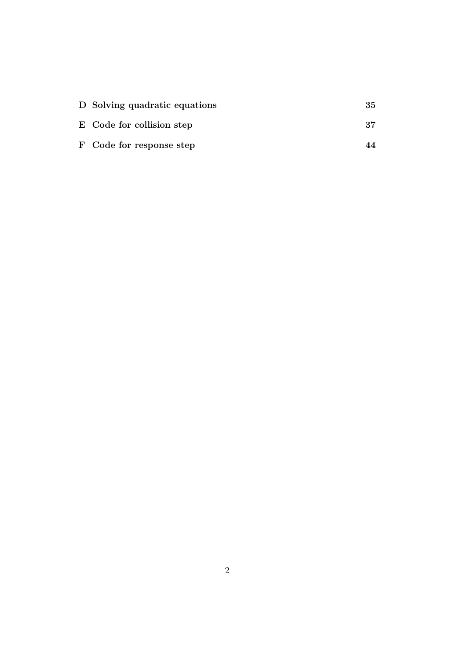| D Solving quadratic equations | 35. |
|-------------------------------|-----|
| E Code for collision step     | 37  |
| F Code for response step      |     |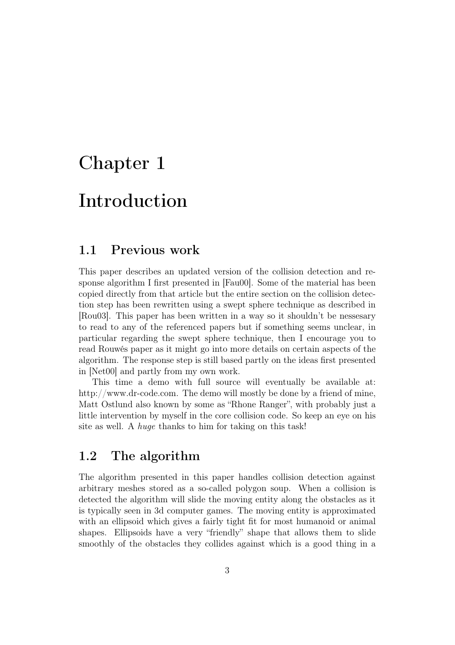### Chapter 1

### Introduction

#### 1.1 Previous work

This paper describes an updated version of the collision detection and response algorithm I first presented in [Fau00]. Some of the material has been copied directly from that article but the entire section on the collision detection step has been rewritten using a swept sphere technique as described in [Rou03]. This paper has been written in a way so it shouldn't be nessesary to read to any of the referenced papers but if something seems unclear, in particular regarding the swept sphere technique, then I encourage you to read Rouwés paper as it might go into more details on certain aspects of the algorithm. The response step is still based partly on the ideas first presented in [Net00] and partly from my own work.

This time a demo with full source will eventually be available at: http://www.dr-code.com. The demo will mostly be done by a friend of mine, Matt Ostlund also known by some as "Rhone Ranger", with probably just a little intervention by myself in the core collision code. So keep an eye on his site as well. A huge thanks to him for taking on this task!

#### 1.2 The algorithm

The algorithm presented in this paper handles collision detection against arbitrary meshes stored as a so-called polygon soup. When a collision is detected the algorithm will slide the moving entity along the obstacles as it is typically seen in 3d computer games. The moving entity is approximated with an ellipsoid which gives a fairly tight fit for most humanoid or animal shapes. Ellipsoids have a very "friendly" shape that allows them to slide smoothly of the obstacles they collides against which is a good thing in a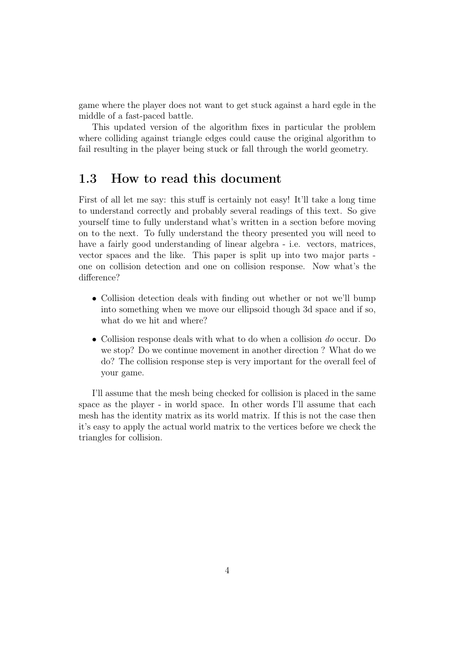game where the player does not want to get stuck against a hard egde in the middle of a fast-paced battle.

This updated version of the algorithm fixes in particular the problem where colliding against triangle edges could cause the original algorithm to fail resulting in the player being stuck or fall through the world geometry.

#### 1.3 How to read this document

First of all let me say: this stuff is certainly not easy! It'll take a long time to understand correctly and probably several readings of this text. So give yourself time to fully understand what's written in a section before moving on to the next. To fully understand the theory presented you will need to have a fairly good understanding of linear algebra - i.e. vectors, matrices, vector spaces and the like. This paper is split up into two major parts one on collision detection and one on collision response. Now what's the difference?

- Collision detection deals with finding out whether or not we'll bump into something when we move our ellipsoid though 3d space and if so, what do we hit and where?
- Collision response deals with what to do when a collision do occur. Do we stop? Do we continue movement in another direction ? What do we do? The collision response step is very important for the overall feel of your game.

I'll assume that the mesh being checked for collision is placed in the same space as the player - in world space. In other words I'll assume that each mesh has the identity matrix as its world matrix. If this is not the case then it's easy to apply the actual world matrix to the vertices before we check the triangles for collision.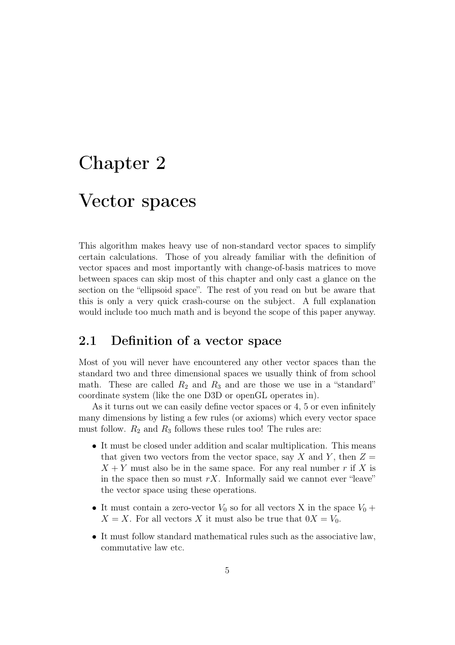### Chapter 2

### Vector spaces

This algorithm makes heavy use of non-standard vector spaces to simplify certain calculations. Those of you already familiar with the definition of vector spaces and most importantly with change-of-basis matrices to move between spaces can skip most of this chapter and only cast a glance on the section on the "ellipsoid space". The rest of you read on but be aware that this is only a very quick crash-course on the subject. A full explanation would include too much math and is beyond the scope of this paper anyway.

#### 2.1 Definition of a vector space

Most of you will never have encountered any other vector spaces than the standard two and three dimensional spaces we usually think of from school math. These are called  $R_2$  and  $R_3$  and are those we use in a "standard" coordinate system (like the one D3D or openGL operates in).

As it turns out we can easily define vector spaces or 4, 5 or even infinitely many dimensions by listing a few rules (or axioms) which every vector space must follow.  $R_2$  and  $R_3$  follows these rules too! The rules are:

- It must be closed under addition and scalar multiplication. This means that given two vectors from the vector space, say X and Y, then  $Z =$  $X + Y$  must also be in the same space. For any real number r if X is in the space then so must  $rX$ . Informally said we cannot ever "leave" the vector space using these operations.
- It must contain a zero-vector  $V_0$  so for all vectors X in the space  $V_0$  +  $X = X$ . For all vectors X it must also be true that  $0X = V_0$ .
- It must follow standard mathematical rules such as the associative law, commutative law etc.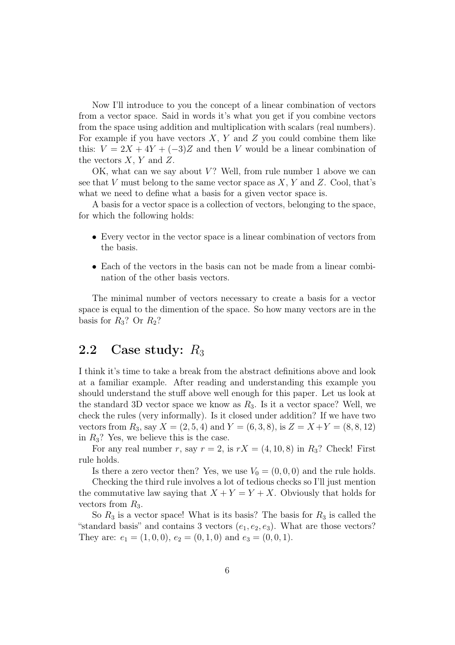Now I'll introduce to you the concept of a linear combination of vectors from a vector space. Said in words it's what you get if you combine vectors from the space using addition and multiplication with scalars (real numbers). For example if you have vectors  $X, Y$  and  $Z$  you could combine them like this:  $V = 2X + 4Y + (-3)Z$  and then V would be a linear combination of the vectors  $X, Y$  and  $Z$ .

OK, what can we say about  $V$ ? Well, from rule number 1 above we can see that V must belong to the same vector space as  $X, Y$  and  $Z$ . Cool, that's what we need to define what a basis for a given vector space is.

A basis for a vector space is a collection of vectors, belonging to the space, for which the following holds:

- Every vector in the vector space is a linear combination of vectors from the basis.
- Each of the vectors in the basis can not be made from a linear combination of the other basis vectors.

The minimal number of vectors necessary to create a basis for a vector space is equal to the dimention of the space. So how many vectors are in the basis for  $R_3$ ? Or  $R_2$ ?

#### 2.2 Case study:  $R_3$

I think it's time to take a break from the abstract definitions above and look at a familiar example. After reading and understanding this example you should understand the stuff above well enough for this paper. Let us look at the standard 3D vector space we know as  $R_3$ . Is it a vector space? Well, we check the rules (very informally). Is it closed under addition? If we have two vectors from  $R_3$ , say  $X = (2, 5, 4)$  and  $Y = (6, 3, 8)$ , is  $Z = X + Y = (8, 8, 12)$ in  $R_3$ ? Yes, we believe this is the case.

For any real number r, say  $r = 2$ , is  $rX = (4, 10, 8)$  in  $R_3$ ? Check! First rule holds.

Is there a zero vector then? Yes, we use  $V_0 = (0, 0, 0)$  and the rule holds.

Checking the third rule involves a lot of tedious checks so I'll just mention the commutative law saying that  $X + Y = Y + X$ . Obviously that holds for vectors from  $R_3$ .

So  $R_3$  is a vector space! What is its basis? The basis for  $R_3$  is called the "standard basis" and contains 3 vectors  $(e_1, e_2, e_3)$ . What are those vectors? They are:  $e_1 = (1, 0, 0), e_2 = (0, 1, 0)$  and  $e_3 = (0, 0, 1)$ .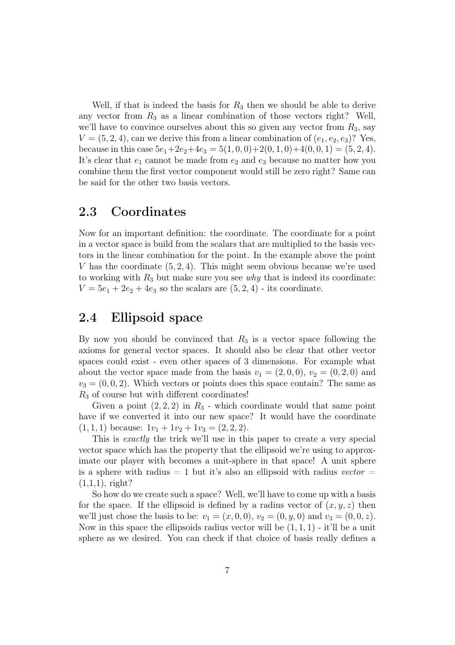Well, if that is indeed the basis for  $R_3$  then we should be able to derive any vector from  $R_3$  as a linear combination of those vectors right? Well, we'll have to convince ourselves about this so given any vector from  $R_3$ , say  $V = (5, 2, 4)$ , can we derive this from a linear combination of  $(e_1, e_2, e_3)$ ? Yes, because in this case  $5e_1+2e_2+4e_3 = 5(1,0,0)+2(0,1,0)+4(0,0,1) = (5,2,4).$ It's clear that  $e_1$  cannot be made from  $e_2$  and  $e_3$  because no matter how you combine them the first vector component would still be zero right? Same can be said for the other two basis vectors.

#### 2.3 Coordinates

Now for an important definition: the coordinate. The coordinate for a point in a vector space is build from the scalars that are multiplied to the basis vectors in the linear combination for the point. In the example above the point V has the coordinate  $(5, 2, 4)$ . This might seem obvious because we're used to working with  $R_3$  but make sure you see why that is indeed its coordinate:  $V = 5e_1 + 2e_2 + 4e_3$  so the scalars are  $(5, 2, 4)$  - its coordinate.

#### 2.4 Ellipsoid space

By now you should be convinced that  $R_3$  is a vector space following the axioms for general vector spaces. It should also be clear that other vector spaces could exist - even other spaces of 3 dimensions. For example what about the vector space made from the basis  $v_1 = (2, 0, 0), v_2 = (0, 2, 0)$  and  $v_3 = (0, 0, 2)$ . Which vectors or points does this space contain? The same as  $R<sub>3</sub>$  of course but with different coordinates!

Given a point  $(2, 2, 2)$  in  $R_3$  - which coordinate would that same point have if we converted it into our new space? It would have the coordinate  $(1, 1, 1)$  because:  $1v_1 + 1v_2 + 1v_3 = (2, 2, 2).$ 

This is *exactly* the trick we'll use in this paper to create a very special vector space which has the property that the ellipsoid we're using to approximate our player with becomes a unit-sphere in that space! A unit sphere is a sphere with radius  $= 1$  but it's also an ellipsoid with radius vector  $=$  $(1,1,1)$ , right?

So how do we create such a space? Well, we'll have to come up with a basis for the space. If the ellipsoid is defined by a radius vector of  $(x, y, z)$  then we'll just chose the basis to be:  $v_1 = (x, 0, 0), v_2 = (0, y, 0)$  and  $v_3 = (0, 0, z)$ . Now in this space the ellipsoids radius vector will be  $(1, 1, 1)$  - it'll be a unit sphere as we desired. You can check if that choice of basis really defines a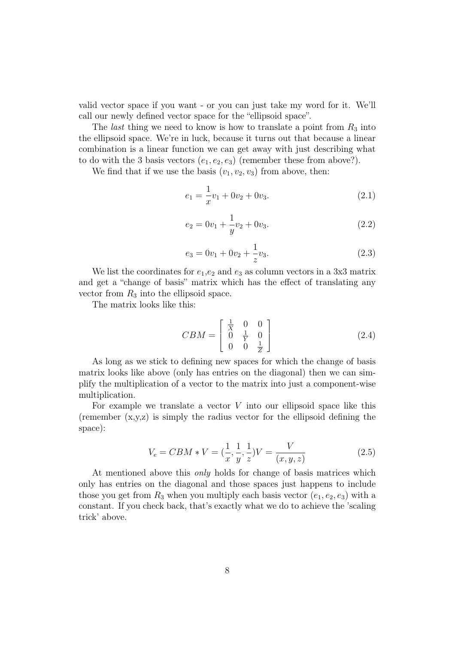valid vector space if you want - or you can just take my word for it. We'll call our newly defined vector space for the "ellipsoid space".

The *last* thing we need to know is how to translate a point from  $R_3$  into the ellipsoid space. We're in luck, because it turns out that because a linear combination is a linear function we can get away with just describing what to do with the 3 basis vectors  $(e_1, e_2, e_3)$  (remember these from above?).

We find that if we use the basis  $(v_1, v_2, v_3)$  from above, then:

$$
e_1 = \frac{1}{x}v_1 + 0v_2 + 0v_3.
$$
 (2.1)

$$
e_2 = 0v_1 + \frac{1}{y}v_2 + 0v_3.
$$
 (2.2)

$$
e_3 = 0v_1 + 0v_2 + \frac{1}{z}v_3.
$$
 (2.3)

We list the coordinates for  $e_1, e_2$  and  $e_3$  as column vectors in a 3x3 matrix and get a "change of basis" matrix which has the effect of translating any vector from  $R_3$  into the ellipsoid space.

The matrix looks like this:

$$
CBM = \left[ \begin{array}{ccc} \frac{1}{X} & 0 & 0 \\ 0 & \frac{1}{Y} & 0 \\ 0 & 0 & \frac{1}{Z} \end{array} \right] \tag{2.4}
$$

As long as we stick to defining new spaces for which the change of basis matrix looks like above (only has entries on the diagonal) then we can simplify the multiplication of a vector to the matrix into just a component-wise multiplication.

For example we translate a vector  $V$  into our ellipsoid space like this (remember  $(x,y,z)$  is simply the radius vector for the ellipsoid defining the space):

$$
V_e = CBM * V = \left(\frac{1}{x}, \frac{1}{y}, \frac{1}{z}\right) V = \frac{V}{(x, y, z)}
$$
(2.5)

At mentioned above this *only* holds for change of basis matrices which only has entries on the diagonal and those spaces just happens to include those you get from  $R_3$  when you multiply each basis vector  $(e_1, e_2, e_3)$  with a constant. If you check back, that's exactly what we do to achieve the 'scaling trick' above.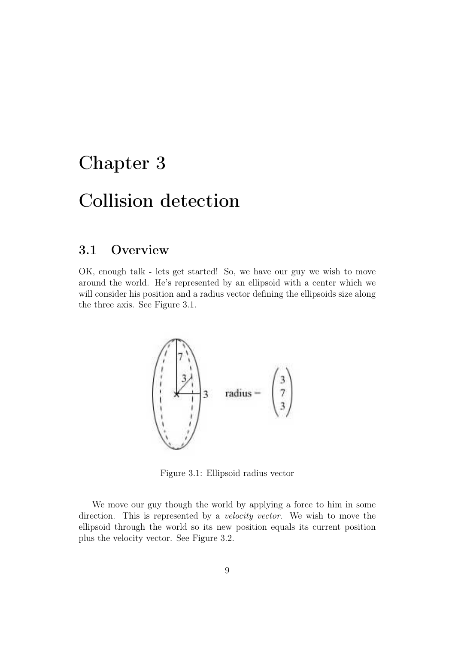### Chapter 3

### Collision detection

#### 3.1 Overview

OK, enough talk - lets get started! So, we have our guy we wish to move around the world. He's represented by an ellipsoid with a center which we will consider his position and a radius vector defining the ellipsoids size along the three axis. See Figure 3.1.



Figure 3.1: Ellipsoid radius vector

We move our guy though the world by applying a force to him in some direction. This is represented by a *velocity vector*. We wish to move the ellipsoid through the world so its new position equals its current position plus the velocity vector. See Figure 3.2.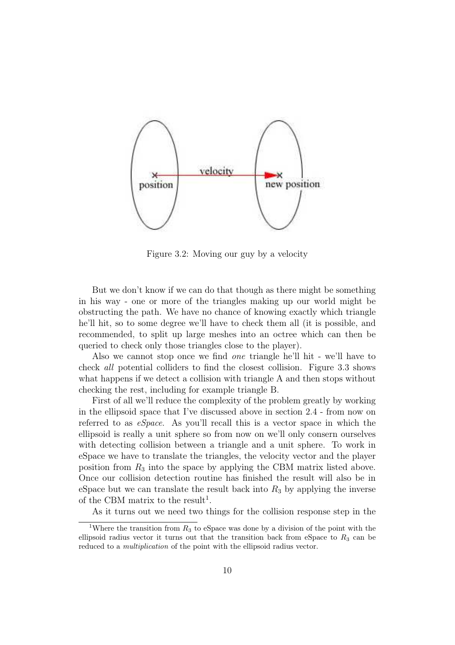

Figure 3.2: Moving our guy by a velocity

But we don't know if we can do that though as there might be something in his way - one or more of the triangles making up our world might be obstructing the path. We have no chance of knowing exactly which triangle he'll hit, so to some degree we'll have to check them all (it is possible, and recommended, to split up large meshes into an octree which can then be queried to check only those triangles close to the player).

Also we cannot stop once we find one triangle he'll hit - we'll have to check all potential colliders to find the closest collision. Figure 3.3 shows what happens if we detect a collision with triangle A and then stops without checking the rest, including for example triangle B.

First of all we'll reduce the complexity of the problem greatly by working in the ellipsoid space that I've discussed above in section 2.4 - from now on referred to as eSpace. As you'll recall this is a vector space in which the ellipsoid is really a unit sphere so from now on we'll only consern ourselves with detecting collision between a triangle and a unit sphere. To work in eSpace we have to translate the triangles, the velocity vector and the player position from  $R_3$  into the space by applying the CBM matrix listed above. Once our collision detection routine has finished the result will also be in eSpace but we can translate the result back into  $R_3$  by applying the inverse of the CBM matrix to the result<sup>1</sup>.

As it turns out we need two things for the collision response step in the

<sup>&</sup>lt;sup>1</sup>Where the transition from  $R_3$  to eSpace was done by a division of the point with the ellipsoid radius vector it turns out that the transition back from eSpace to  $R_3$  can be reduced to a *multiplication* of the point with the ellipsoid radius vector.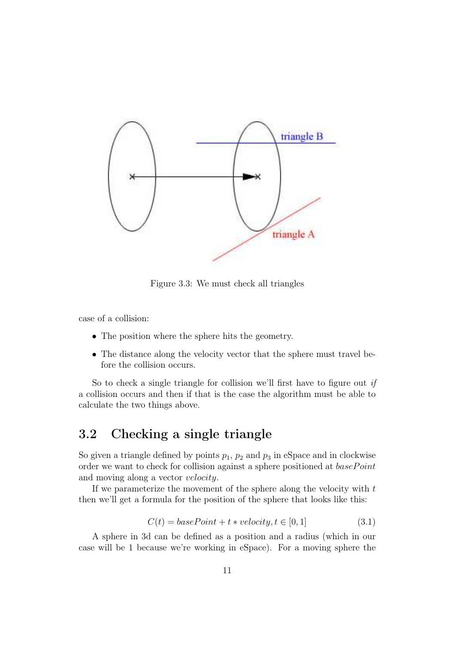

Figure 3.3: We must check all triangles

case of a collision:

- The position where the sphere hits the geometry.
- The distance along the velocity vector that the sphere must travel before the collision occurs.

So to check a single triangle for collision we'll first have to figure out if a collision occurs and then if that is the case the algorithm must be able to calculate the two things above.

#### 3.2 Checking a single triangle

So given a triangle defined by points  $p_1$ ,  $p_2$  and  $p_3$  in eSpace and in clockwise order we want to check for collision against a sphere positioned at  $basePoint$ and moving along a vector velocity.

If we parameterize the movement of the sphere along the velocity with  $t$ then we'll get a formula for the position of the sphere that looks like this:

$$
C(t) = basePoint + t * velocity, t \in [0, 1]
$$
\n(3.1)

A sphere in 3d can be defined as a position and a radius (which in our case will be 1 because we're working in eSpace). For a moving sphere the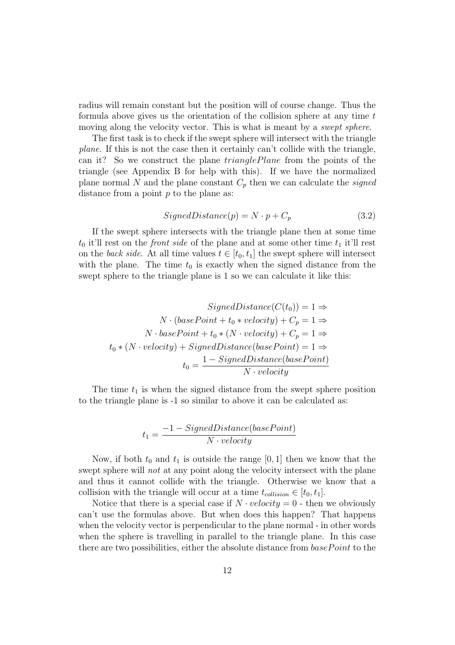radius will remain constant but the position will of course change. Thus the formula above gives us the orientation of the collision sphere at any time  $t$ moving along the velocity vector. This is what is meant by a *swept sphere*.

The first task is to check if the swept sphere will intersect with the triangle plane. If this is not the case then it certainly can't collide with the triangle, can it? So we construct the plane trianglePlane from the points of the triangle (see Appendix B for help with this). If we have the normalized plane normal N and the plane constant  $C_p$  then we can calculate the *signed* distance from a point  $p$  to the plane as:

$$
SignedDistance(p) = N \cdot p + C_p \tag{3.2}
$$

If the swept sphere intersects with the triangle plane then at some time  $t_0$  it'll rest on the *front side* of the plane and at some other time  $t_1$  it'll rest on the back side. At all time values  $t \in [t_0, t_1]$  the swept sphere will intersect with the plane. The time  $t_0$  is exactly when the signed distance from the swept sphere to the triangle plane is 1 so we can calculate it like this:

$$
SignedDistance(C(t_0)) = 1 \Rightarrow
$$
  
\n
$$
N \cdot (basePoint + t_0 * velocity) + C_p = 1 \Rightarrow
$$
  
\n
$$
N \cdot basePoint + t_0 * (N \cdot velocity) + C_p = 1 \Rightarrow
$$
  
\n
$$
t_0 * (N \cdot velocity) + SignedDistance(basePoint) = 1 \Rightarrow
$$
  
\n
$$
t_0 = \frac{1 - SignedDistance(basePoint)}{N \cdot velocity}
$$

The time  $t_1$  is when the signed distance from the swept sphere position to the triangle plane is -1 so similar to above it can be calculated as:

$$
t_1 = \frac{-1 - SignedDistance(basePoint)}{N \cdot velocity}
$$

Now, if both  $t_0$  and  $t_1$  is outside the range [0, 1] then we know that the swept sphere will *not* at any point along the velocity intersect with the plane and thus it cannot collide with the triangle. Otherwise we know that a collision with the triangle will occur at a time  $t_{collision} \in [t_0, t_1]$ .

Notice that there is a special case if  $N \cdot velocity = 0$  - then we obviously can't use the formulas above. But when does this happen? That happens when the velocity vector is perpendicular to the plane normal - in other words when the sphere is travelling in parallel to the triangle plane. In this case there are two possibilities, either the absolute distance from  $basePoint$  to the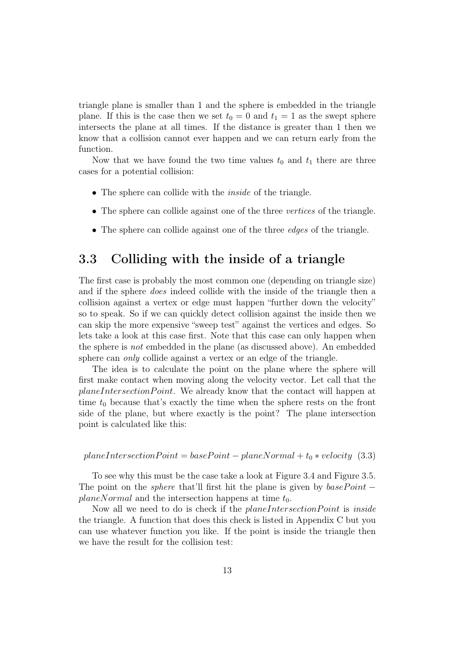triangle plane is smaller than 1 and the sphere is embedded in the triangle plane. If this is the case then we set  $t_0 = 0$  and  $t_1 = 1$  as the swept sphere intersects the plane at all times. If the distance is greater than 1 then we know that a collision cannot ever happen and we can return early from the function.

Now that we have found the two time values  $t_0$  and  $t_1$  there are three cases for a potential collision:

- The sphere can collide with the *inside* of the triangle.
- The sphere can collide against one of the three vertices of the triangle.
- The sphere can collide against one of the three *edges* of the triangle.

#### 3.3 Colliding with the inside of a triangle

The first case is probably the most common one (depending on triangle size) and if the sphere does indeed collide with the inside of the triangle then a collision against a vertex or edge must happen "further down the velocity" so to speak. So if we can quickly detect collision against the inside then we can skip the more expensive "sweep test" against the vertices and edges. So lets take a look at this case first. Note that this case can only happen when the sphere is not embedded in the plane (as discussed above). An embedded sphere can *only* collide against a vertex or an edge of the triangle.

The idea is to calculate the point on the plane where the sphere will first make contact when moving along the velocity vector. Let call that the planeIntersectionPoint. We already know that the contact will happen at time  $t_0$  because that's exactly the time when the sphere rests on the front side of the plane, but where exactly is the point? The plane intersection point is calculated like this:

#### $planeIntersection Point = basePoint - planeNormal + t_0 * velocity$  (3.3)

To see why this must be the case take a look at Figure 3.4 and Figure 3.5. The point on the *sphere* that'll first hit the plane is given by  $basePoint$ planeNormal and the intersection happens at time  $t_0$ .

Now all we need to do is check if the *planeIntersectionPoint* is *inside* the triangle. A function that does this check is listed in Appendix C but you can use whatever function you like. If the point is inside the triangle then we have the result for the collision test: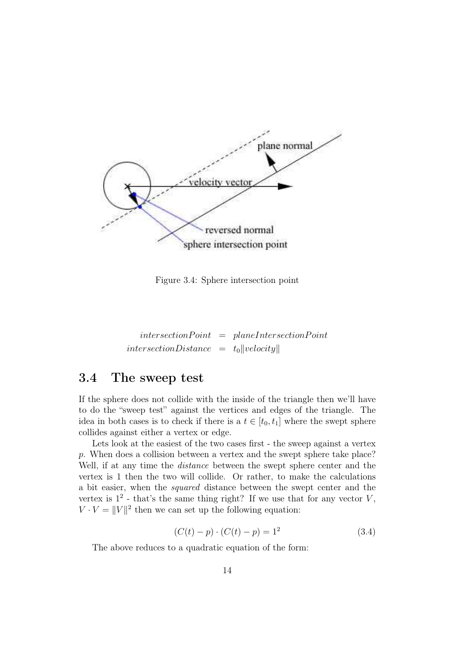

Figure 3.4: Sphere intersection point

 $\label{eq:intersection} \begin{array}{rcl} intersectionPoint & = & planeIntersection Point \end{array}$  $intersectionDistance = t_0\|velocity\|$ 

#### 3.4 The sweep test

If the sphere does not collide with the inside of the triangle then we'll have to do the "sweep test" against the vertices and edges of the triangle. The idea in both cases is to check if there is a  $t \in [t_0, t_1]$  where the swept sphere collides against either a vertex or edge.

Lets look at the easiest of the two cases first - the sweep against a vertex p. When does a collision between a vertex and the swept sphere take place? Well, if at any time the distance between the swept sphere center and the vertex is 1 then the two will collide. Or rather, to make the calculations a bit easier, when the squared distance between the swept center and the vertex is  $1^2$  - that's the same thing right? If we use that for any vector V,  $V \cdot V = ||V||^2$  then we can set up the following equation:

$$
(C(t) - p) \cdot (C(t) - p) = 1^2 \tag{3.4}
$$

The above reduces to a quadratic equation of the form: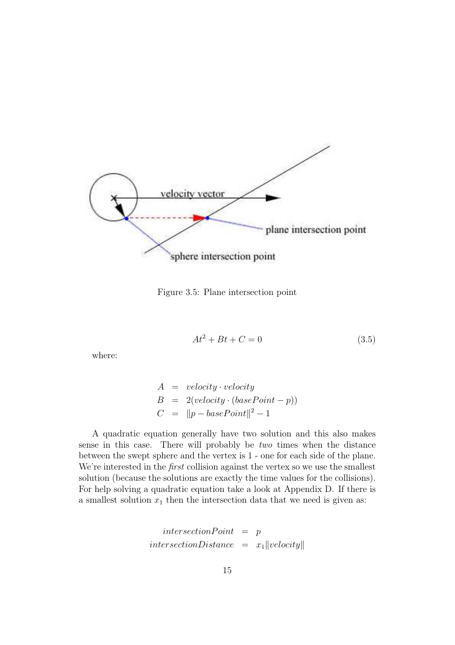

Figure 3.5: Plane intersection point

$$
At^2 + Bt + C = 0 \tag{3.5}
$$

where:

$$
A = velocity \cdot velocity
$$
  
\n
$$
B = 2(velocity \cdot (basePoint - p))
$$
  
\n
$$
C = ||p - basePoint||^2 - 1
$$

A quadratic equation generally have two solution and this also makes sense in this case. There will probably be two times when the distance between the swept sphere and the vertex is 1 - one for each side of the plane. We're interested in the *first* collision against the vertex so we use the smallest solution (because the solutions are exactly the time values for the collisions). For help solving a quadratic equation take a look at Appendix D. If there is a smallest solution  $x_1$  then the intersection data that we need is given as:

> $intersectionPoint = p$  $intersectionDistance = x_1\|velocity\|$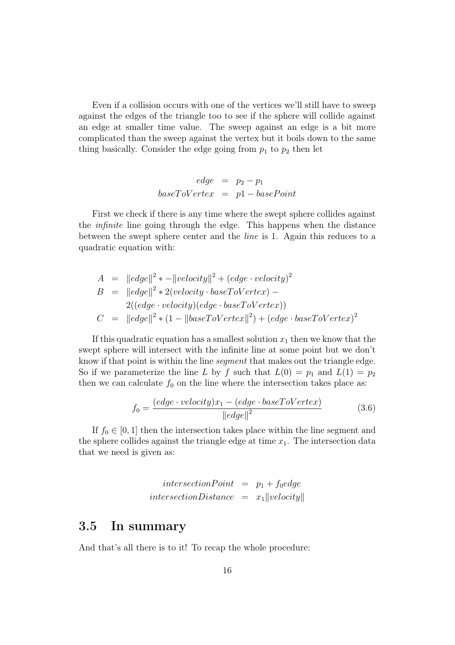Even if a collision occurs with one of the vertices we'll still have to sweep against the edges of the triangle too to see if the sphere will collide against an edge at smaller time value. The sweep against an edge is a bit more complicated than the sweep against the vertex but it boils down to the same thing basically. Consider the edge going from  $p_1$  to  $p_2$  then let

$$
edge = p_2 - p_1
$$

$$
baseToVertex = p1 - basePoint
$$

First we check if there is any time where the swept sphere collides against the infinite line going through the edge. This happens when the distance between the swept sphere center and the line is 1. Again this reduces to a quadratic equation with:

$$
A = ||edge||^2 * - ||velocity||^2 + (edge \cdot velocity)^2
$$
  
\n
$$
B = ||edge||^2 * 2(velocity \cdot baseToVertex) - 2((edge \cdot velocity)(edge \cdot baseToVertex))
$$
  
\n
$$
C = ||edge||^2 * (1 - ||baseToVertex||^2) + (edge \cdot baseToVertex)^2
$$

If this quadratic equation has a smallest solution  $x_1$  then we know that the swept sphere will intersect with the infinite line at some point but we don't know if that point is within the line segment that makes out the triangle edge. So if we parameterize the line L by f such that  $L(0) = p_1$  and  $L(1) = p_2$ then we can calculate  $f_0$  on the line where the intersection takes place as:

$$
f_0 = \frac{(edge \cdot velocity)x_1 - (edge \cdot baseToVertex)}{\|edge\|^2}
$$
 (3.6)

If  $f_0 \in [0, 1]$  then the intersection takes place within the line segment and the sphere collides against the triangle edge at time  $x_1$ . The intersection data that we need is given as:

> $intersectionPoint = p_1 + f_0edge$  $intersectionDistance = x_1\|velocity\|$

#### 3.5 In summary

And that's all there is to it! To recap the whole procedure: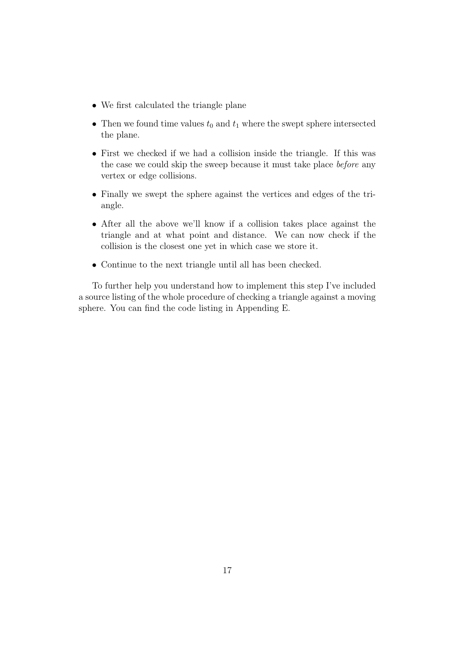- We first calculated the triangle plane
- Then we found time values  $t_0$  and  $t_1$  where the swept sphere intersected the plane.
- First we checked if we had a collision inside the triangle. If this was the case we could skip the sweep because it must take place before any vertex or edge collisions.
- Finally we swept the sphere against the vertices and edges of the triangle.
- After all the above we'll know if a collision takes place against the triangle and at what point and distance. We can now check if the collision is the closest one yet in which case we store it.
- Continue to the next triangle until all has been checked.

To further help you understand how to implement this step I've included a source listing of the whole procedure of checking a triangle against a moving sphere. You can find the code listing in Appending E.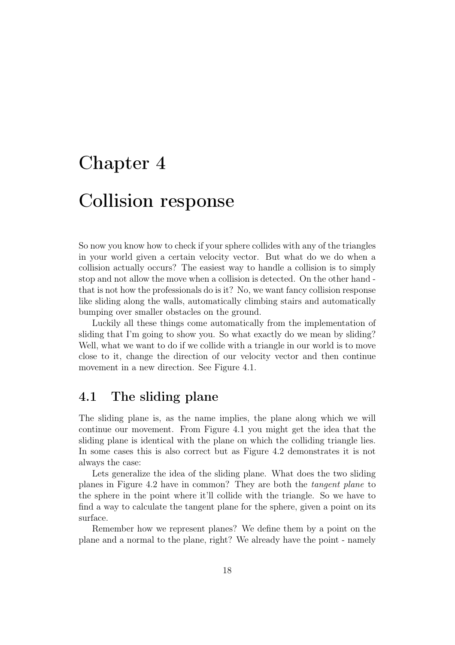## Chapter 4

### Collision response

So now you know how to check if your sphere collides with any of the triangles in your world given a certain velocity vector. But what do we do when a collision actually occurs? The easiest way to handle a collision is to simply stop and not allow the move when a collision is detected. On the other hand that is not how the professionals do is it? No, we want fancy collision response like sliding along the walls, automatically climbing stairs and automatically bumping over smaller obstacles on the ground.

Luckily all these things come automatically from the implementation of sliding that I'm going to show you. So what exactly do we mean by sliding? Well, what we want to do if we collide with a triangle in our world is to move close to it, change the direction of our velocity vector and then continue movement in a new direction. See Figure 4.1.

#### 4.1 The sliding plane

The sliding plane is, as the name implies, the plane along which we will continue our movement. From Figure 4.1 you might get the idea that the sliding plane is identical with the plane on which the colliding triangle lies. In some cases this is also correct but as Figure 4.2 demonstrates it is not always the case:

Lets generalize the idea of the sliding plane. What does the two sliding planes in Figure 4.2 have in common? They are both the tangent plane to the sphere in the point where it'll collide with the triangle. So we have to find a way to calculate the tangent plane for the sphere, given a point on its surface.

Remember how we represent planes? We define them by a point on the plane and a normal to the plane, right? We already have the point - namely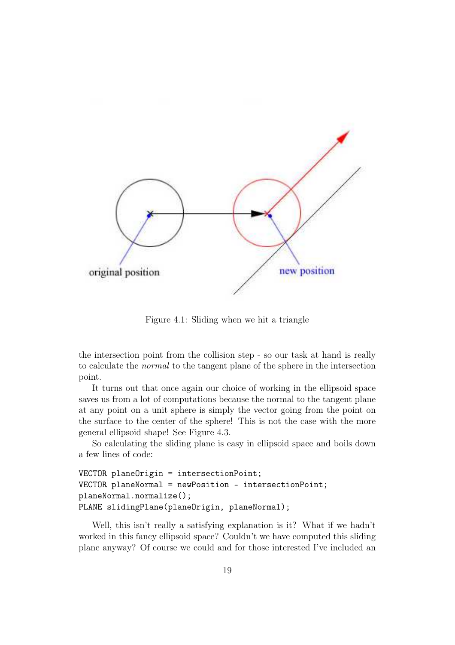

Figure 4.1: Sliding when we hit a triangle

the intersection point from the collision step - so our task at hand is really to calculate the normal to the tangent plane of the sphere in the intersection point.

It turns out that once again our choice of working in the ellipsoid space saves us from a lot of computations because the normal to the tangent plane at any point on a unit sphere is simply the vector going from the point on the surface to the center of the sphere! This is not the case with the more general ellipsoid shape! See Figure 4.3.

So calculating the sliding plane is easy in ellipsoid space and boils down a few lines of code:

```
VECTOR planeOrigin = intersectionPoint;
VECTOR planeNormal = newPosition - intersectionPoint;
planeNormal.normalize();
PLANE slidingPlane(planeOrigin, planeNormal);
```
Well, this isn't really a satisfying explanation is it? What if we hadn't worked in this fancy ellipsoid space? Couldn't we have computed this sliding plane anyway? Of course we could and for those interested I've included an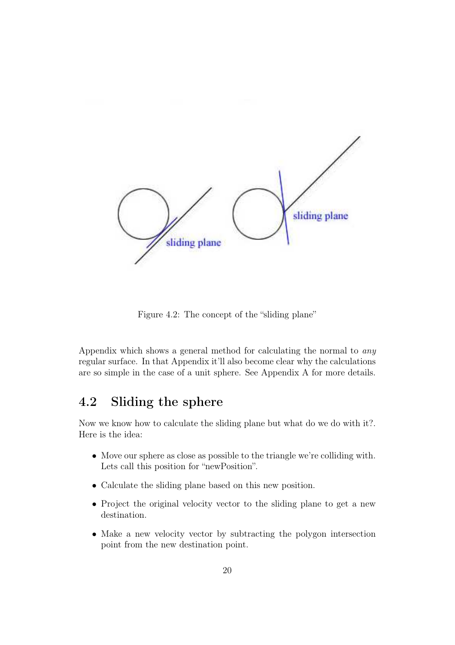

Figure 4.2: The concept of the "sliding plane"

Appendix which shows a general method for calculating the normal to any regular surface. In that Appendix it'll also become clear why the calculations are so simple in the case of a unit sphere. See Appendix A for more details.

#### 4.2 Sliding the sphere

Now we know how to calculate the sliding plane but what do we do with it?. Here is the idea:

- Move our sphere as close as possible to the triangle we're colliding with. Lets call this position for "newPosition".
- Calculate the sliding plane based on this new position.
- Project the original velocity vector to the sliding plane to get a new destination.
- Make a new velocity vector by subtracting the polygon intersection point from the new destination point.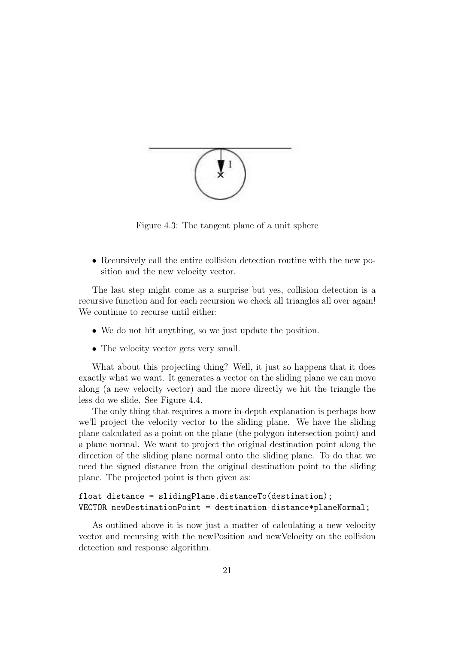

Figure 4.3: The tangent plane of a unit sphere

• Recursively call the entire collision detection routine with the new position and the new velocity vector.

The last step might come as a surprise but yes, collision detection is a recursive function and for each recursion we check all triangles all over again! We continue to recurse until either:

- We do not hit anything, so we just update the position.
- The velocity vector gets very small.

What about this projecting thing? Well, it just so happens that it does exactly what we want. It generates a vector on the sliding plane we can move along (a new velocity vector) and the more directly we hit the triangle the less do we slide. See Figure 4.4.

The only thing that requires a more in-depth explanation is perhaps how we'll project the velocity vector to the sliding plane. We have the sliding plane calculated as a point on the plane (the polygon intersection point) and a plane normal. We want to project the original destination point along the direction of the sliding plane normal onto the sliding plane. To do that we need the signed distance from the original destination point to the sliding plane. The projected point is then given as:

```
float distance = slidingPlane.distanceTo(destination);
VECTOR newDestinationPoint = destination-distance*planeNormal;
```
As outlined above it is now just a matter of calculating a new velocity vector and recursing with the newPosition and newVelocity on the collision detection and response algorithm.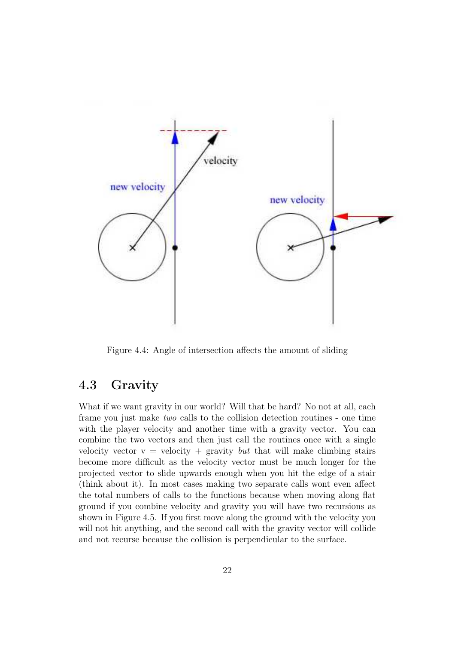

Figure 4.4: Angle of intersection affects the amount of sliding

#### 4.3 Gravity

What if we want gravity in our world? Will that be hard? No not at all, each frame you just make two calls to the collision detection routines - one time with the player velocity and another time with a gravity vector. You can combine the two vectors and then just call the routines once with a single velocity vector  $v =$  velocity + gravity but that will make climbing stairs become more difficult as the velocity vector must be much longer for the projected vector to slide upwards enough when you hit the edge of a stair (think about it). In most cases making two separate calls wont even affect the total numbers of calls to the functions because when moving along flat ground if you combine velocity and gravity you will have two recursions as shown in Figure 4.5. If you first move along the ground with the velocity you will not hit anything, and the second call with the gravity vector will collide and not recurse because the collision is perpendicular to the surface.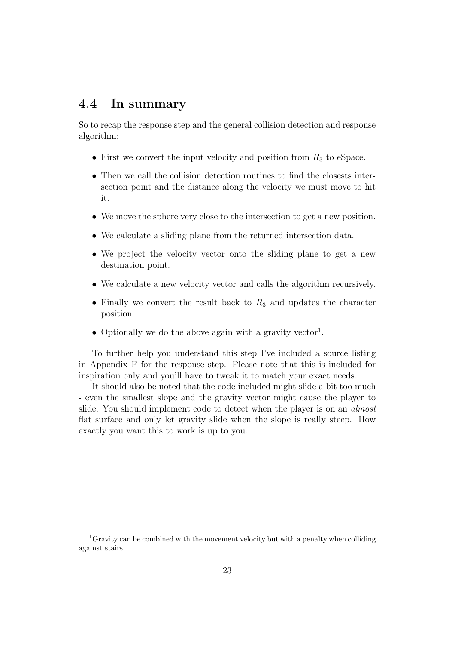#### 4.4 In summary

So to recap the response step and the general collision detection and response algorithm:

- First we convert the input velocity and position from  $R_3$  to eSpace.
- Then we call the collision detection routines to find the closests intersection point and the distance along the velocity we must move to hit it.
- We move the sphere very close to the intersection to get a new position.
- We calculate a sliding plane from the returned intersection data.
- We project the velocity vector onto the sliding plane to get a new destination point.
- We calculate a new velocity vector and calls the algorithm recursively.
- Finally we convert the result back to  $R_3$  and updates the character position.
- Optionally we do the above again with a gravity vector<sup>1</sup>.

To further help you understand this step I've included a source listing in Appendix F for the response step. Please note that this is included for inspiration only and you'll have to tweak it to match your exact needs.

It should also be noted that the code included might slide a bit too much - even the smallest slope and the gravity vector might cause the player to slide. You should implement code to detect when the player is on an *almost* flat surface and only let gravity slide when the slope is really steep. How exactly you want this to work is up to you.

<sup>&</sup>lt;sup>1</sup>Gravity can be combined with the movement velocity but with a penalty when colliding against stairs.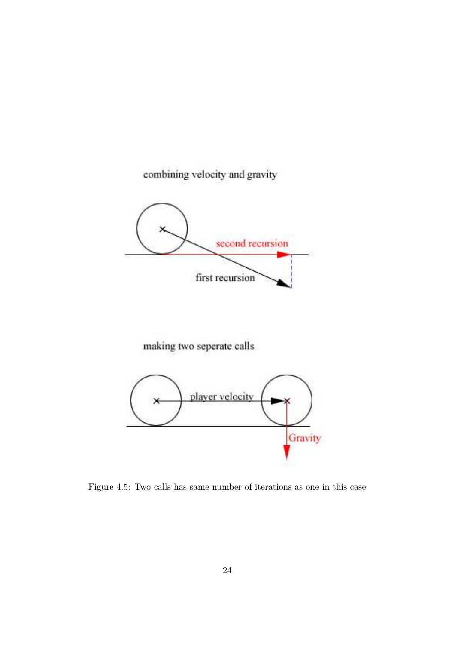combining velocity and gravity



making two seperate calls



Figure 4.5: Two calls has same number of iterations as one in this case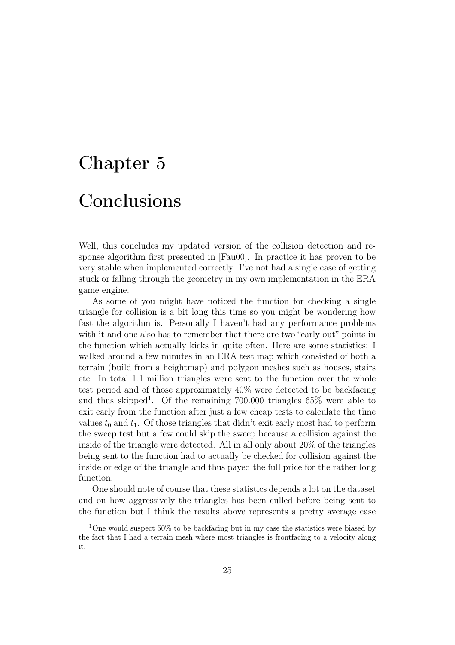# Chapter 5

## Conclusions

Well, this concludes my updated version of the collision detection and response algorithm first presented in [Fau00]. In practice it has proven to be very stable when implemented correctly. I've not had a single case of getting stuck or falling through the geometry in my own implementation in the ERA game engine.

As some of you might have noticed the function for checking a single triangle for collision is a bit long this time so you might be wondering how fast the algorithm is. Personally I haven't had any performance problems with it and one also has to remember that there are two "early out" points in the function which actually kicks in quite often. Here are some statistics: I walked around a few minutes in an ERA test map which consisted of both a terrain (build from a heightmap) and polygon meshes such as houses, stairs etc. In total 1.1 million triangles were sent to the function over the whole test period and of those approximately 40% were detected to be backfacing and thus skipped<sup>1</sup>. Of the remaining 700.000 triangles  $65\%$  were able to exit early from the function after just a few cheap tests to calculate the time values  $t_0$  and  $t_1$ . Of those triangles that didn't exit early most had to perform the sweep test but a few could skip the sweep because a collision against the inside of the triangle were detected. All in all only about 20% of the triangles being sent to the function had to actually be checked for collision against the inside or edge of the triangle and thus payed the full price for the rather long function.

One should note of course that these statistics depends a lot on the dataset and on how aggressively the triangles has been culled before being sent to the function but I think the results above represents a pretty average case

<sup>1</sup>One would suspect 50% to be backfacing but in my case the statistics were biased by the fact that I had a terrain mesh where most triangles is frontfacing to a velocity along it.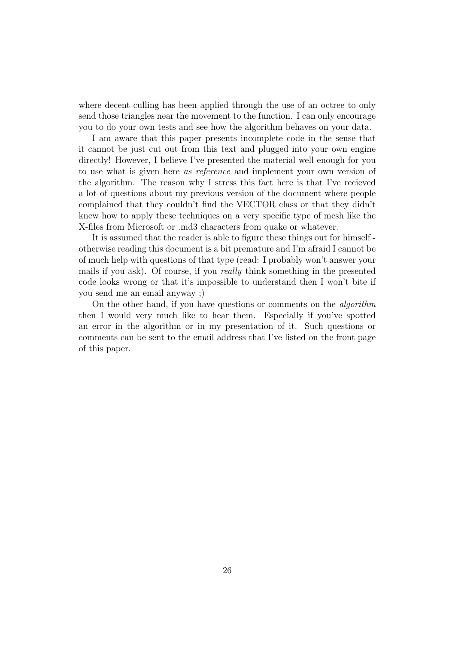where decent culling has been applied through the use of an octree to only send those triangles near the movement to the function. I can only encourage you to do your own tests and see how the algorithm behaves on your data.

I am aware that this paper presents incomplete code in the sense that it cannot be just cut out from this text and plugged into your own engine directly! However, I believe I've presented the material well enough for you to use what is given here as reference and implement your own version of the algorithm. The reason why I stress this fact here is that I've recieved a lot of questions about my previous version of the document where people complained that they couldn't find the VECTOR class or that they didn't knew how to apply these techniques on a very specific type of mesh like the X-files from Microsoft or .md3 characters from quake or whatever.

It is assumed that the reader is able to figure these things out for himself otherwise reading this document is a bit premature and I'm afraid I cannot be of much help with questions of that type (read: I probably won't answer your mails if you ask). Of course, if you really think something in the presented code looks wrong or that it's impossible to understand then I won't bite if you send me an email anyway ;)

On the other hand, if you have questions or comments on the *algorithm* then I would very much like to hear them. Especially if you've spotted an error in the algorithm or in my presentation of it. Such questions or comments can be sent to the email address that I've listed on the front page of this paper.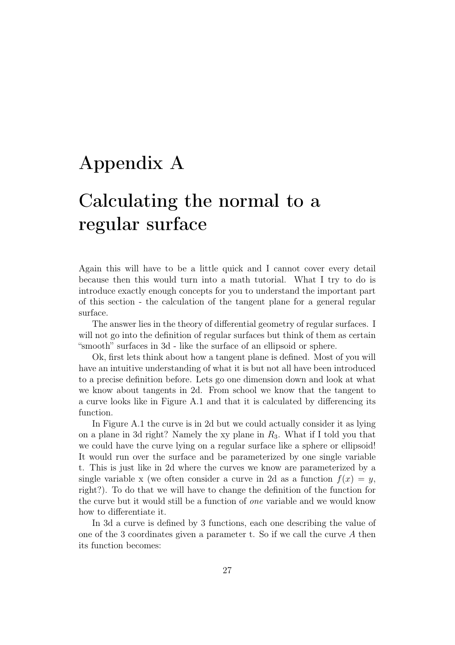### Appendix A

# Calculating the normal to a regular surface

Again this will have to be a little quick and I cannot cover every detail because then this would turn into a math tutorial. What I try to do is introduce exactly enough concepts for you to understand the important part of this section - the calculation of the tangent plane for a general regular surface.

The answer lies in the theory of differential geometry of regular surfaces. I will not go into the definition of regular surfaces but think of them as certain "smooth" surfaces in 3d - like the surface of an ellipsoid or sphere.

Ok, first lets think about how a tangent plane is defined. Most of you will have an intuitive understanding of what it is but not all have been introduced to a precise definition before. Lets go one dimension down and look at what we know about tangents in 2d. From school we know that the tangent to a curve looks like in Figure A.1 and that it is calculated by differencing its function.

In Figure A.1 the curve is in 2d but we could actually consider it as lying on a plane in 3d right? Namely the xy plane in  $R_3$ . What if I told you that we could have the curve lying on a regular surface like a sphere or ellipsoid! It would run over the surface and be parameterized by one single variable t. This is just like in 2d where the curves we know are parameterized by a single variable x (we often consider a curve in 2d as a function  $f(x) = y$ , right?). To do that we will have to change the definition of the function for the curve but it would still be a function of one variable and we would know how to differentiate it.

In 3d a curve is defined by 3 functions, each one describing the value of one of the 3 coordinates given a parameter t. So if we call the curve A then its function becomes: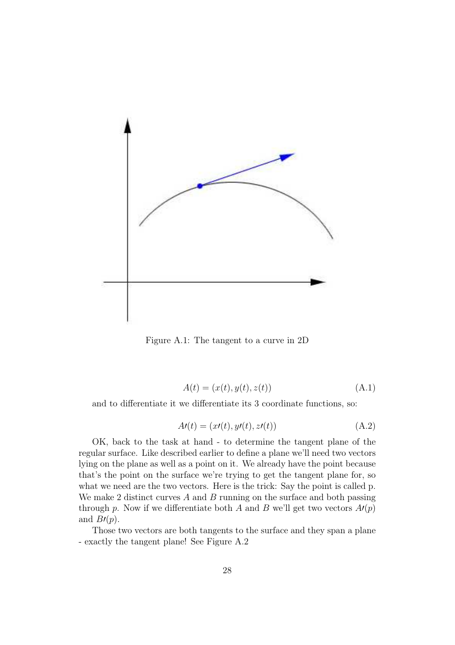

Figure A.1: The tangent to a curve in 2D

$$
A(t) = (x(t), y(t), z(t))
$$
\n(A.1)

and to differentiate it we differentiate its 3 coordinate functions, so:

$$
A(t) = (x(t), y(t), z(t))
$$
\n(A.2)

OK, back to the task at hand - to determine the tangent plane of the regular surface. Like described earlier to define a plane we'll need two vectors lying on the plane as well as a point on it. We already have the point because that's the point on the surface we're trying to get the tangent plane for, so what we need are the two vectors. Here is the trick: Say the point is called p. We make 2 distinct curves  $A$  and  $B$  running on the surface and both passing through p. Now if we differentiate both A and B we'll get two vectors  $A'(p)$ and  $B(p)$ .

Those two vectors are both tangents to the surface and they span a plane - exactly the tangent plane! See Figure A.2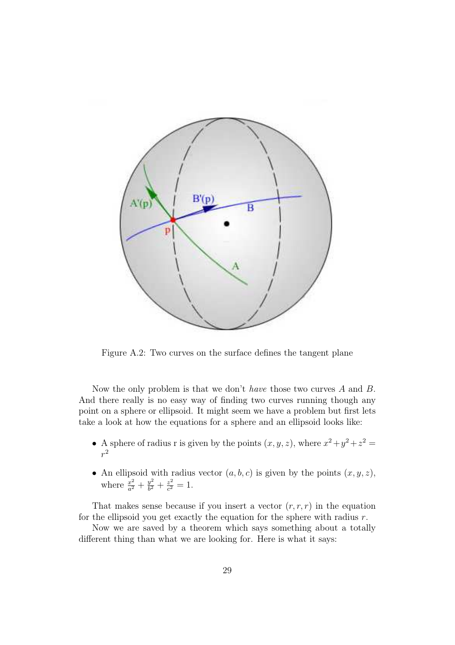

Figure A.2: Two curves on the surface defines the tangent plane

Now the only problem is that we don't have those two curves A and B. And there really is no easy way of finding two curves running though any point on a sphere or ellipsoid. It might seem we have a problem but first lets take a look at how the equations for a sphere and an ellipsoid looks like:

- A sphere of radius r is given by the points  $(x, y, z)$ , where  $x^2 + y^2 + z^2 =$  $r^2$
- An ellipsoid with radius vector  $(a, b, c)$  is given by the points  $(x, y, z)$ , where  $\frac{x^2}{a^2}$  $rac{x^2}{a^2} + \frac{y^2}{b^2}$  $\frac{y^2}{b^2} + \frac{z^2}{c^2}$  $\frac{z^2}{c^2}=1.$

That makes sense because if you insert a vector  $(r, r, r)$  in the equation for the ellipsoid you get exactly the equation for the sphere with radius  $r$ .

Now we are saved by a theorem which says something about a totally different thing than what we are looking for. Here is what it says: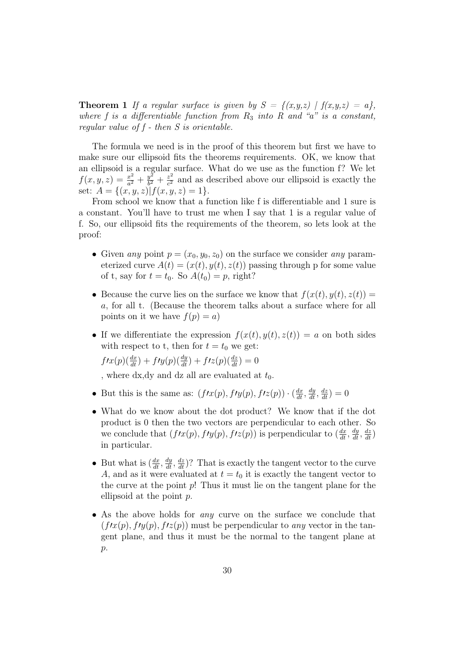**Theorem 1** If a regular surface is given by  $S = \{(x,y,z) | f(x,y,z) = a\}$ , where f is a differentiable function from  $R_3$  into R and "a" is a constant, regular value of f - then S is orientable.

The formula we need is in the proof of this theorem but first we have to make sure our ellipsoid fits the theorems requirements. OK, we know that an ellipsoid is a regular surface. What do we use as the function f? We let  $f(x, y, z) = \frac{x^2}{a^2}$  $rac{x^2}{a^2} + \frac{y^2}{b^2}$  $\frac{y^2}{b^2} + \frac{z^2}{c^2}$  $\frac{z^2}{c^2}$  and as described above our ellipsoid is exactly the set:  $A = \{(x, y, z) | f(x, y, z) = 1\}.$ 

From school we know that a function like f is differentiable and 1 sure is a constant. You'll have to trust me when I say that 1 is a regular value of f. So, our ellipsoid fits the requirements of the theorem, so lets look at the proof:

- Given any point  $p = (x_0, y_0, z_0)$  on the surface we consider any parameterized curve  $A(t) = (x(t), y(t), z(t))$  passing through p for some value of t, say for  $t = t_0$ . So  $A(t_0) = p$ , right?
- Because the curve lies on the surface we know that  $f(x(t), y(t), z(t)) =$ a, for all t. (Because the theorem talks about a surface where for all points on it we have  $f(p) = a$
- If we differentiate the expression  $f(x(t), y(t), z(t)) = a$  on both sides with respect to t, then for  $t = t_0$  we get:

 $ftx(p)(\frac{dx}{dt}) + fty(p)(\frac{dy}{dt}) + ftz(p)(\frac{dz}{dt}) = 0$ 

, where  $dx, dy$  and  $dz$  all are evaluated at  $t_0$ .

- But this is the same as:  $(f \iota x(p), f \iota y(p), f \iota z(p)) \cdot (\frac{dx}{dt}, \frac{dy}{dt}, \frac{dz}{dt}) = 0$
- What do we know about the dot product? We know that if the dot product is 0 then the two vectors are perpendicular to each other. So we conclude that  $(f \iota x(p), f \iota y(p), f \iota z(p))$  is perpendicular to  $(\frac{dx}{dt}, \frac{dy}{dt}, \frac{dz}{dt})$ in particular.
- But what is  $(\frac{dx}{dt}, \frac{dy}{dt}, \frac{dz}{dt})$ ? That is exactly the tangent vector to the curve A, and as it were evaluated at  $t = t_0$  it is exactly the tangent vector to the curve at the point  $p!$ . Thus it must lie on the tangent plane for the ellipsoid at the point p.
- As the above holds for any curve on the surface we conclude that  $(f(x(p), f(y(p), f(z(p)))$  must be perpendicular to any vector in the tangent plane, and thus it must be the normal to the tangent plane at p.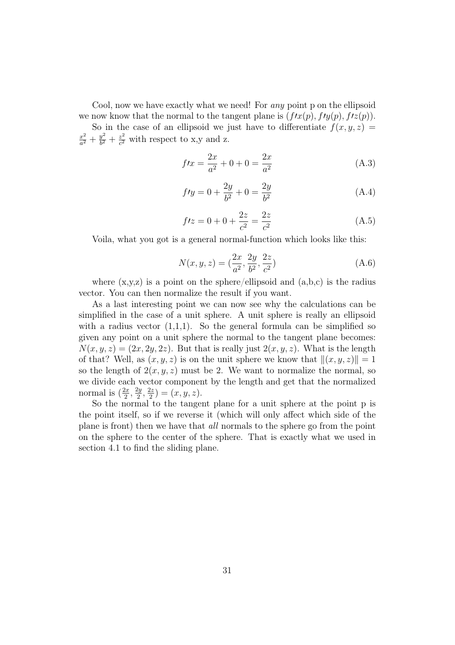Cool, now we have exactly what we need! For any point p on the ellipsoid we now know that the normal to the tangent plane is  $(ftx(p), fy(p), fz(p)).$ 

So in the case of an ellipsoid we just have to differentiate  $f(x, y, z) =$  $x^2$  $rac{x^2}{a^2} + \frac{y^2}{b^2}$  $\frac{y^2}{b^2} + \frac{z^2}{c^2}$  $\frac{z^2}{c^2}$  with respect to x,y and z.

$$
ftx = \frac{2x}{a^2} + 0 + 0 = \frac{2x}{a^2}
$$
 (A.3)

$$
f\prime y = 0 + \frac{2y}{b^2} + 0 = \frac{2y}{b^2} \tag{A.4}
$$

$$
fiz = 0 + 0 + \frac{2z}{c^2} = \frac{2z}{c^2}
$$
 (A.5)

Voila, what you got is a general normal-function which looks like this:

$$
N(x, y, z) = \left(\frac{2x}{a^2}, \frac{2y}{b^2}, \frac{2z}{c^2}\right)
$$
 (A.6)

where  $(x,y,z)$  is a point on the sphere/ellipsoid and  $(a,b,c)$  is the radius vector. You can then normalize the result if you want.

As a last interesting point we can now see why the calculations can be simplified in the case of a unit sphere. A unit sphere is really an ellipsoid with a radius vector  $(1,1,1)$ . So the general formula can be simplified so given any point on a unit sphere the normal to the tangent plane becomes:  $N(x, y, z) = (2x, 2y, 2z)$ . But that is really just  $2(x, y, z)$ . What is the length of that? Well, as  $(x, y, z)$  is on the unit sphere we know that  $\|(x, y, z)\| = 1$ so the length of  $2(x, y, z)$  must be 2. We want to normalize the normal, so we divide each vector component by the length and get that the normalized normal is  $\left(\frac{2x}{2}\right)$  $\frac{2x}{2}$ ,  $\frac{2y}{2}$  $\frac{2y}{2}$ ,  $\frac{2z}{2}$  $\frac{2z}{2}$ ) =  $(x, y, z)$ .

So the normal to the tangent plane for a unit sphere at the point p is the point itself, so if we reverse it (which will only affect which side of the plane is front) then we have that all normals to the sphere go from the point on the sphere to the center of the sphere. That is exactly what we used in section 4.1 to find the sliding plane.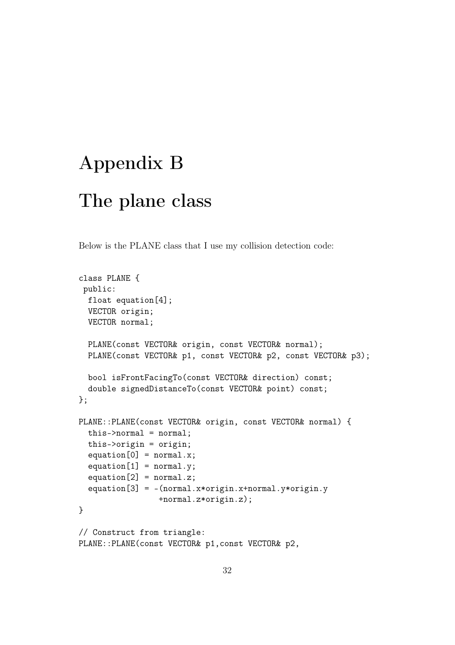### Appendix B

### The plane class

Below is the PLANE class that I use my collision detection code:

```
class PLANE {
 public:
  float equation[4];
  VECTOR origin;
  VECTOR normal;
  PLANE(const VECTOR& origin, const VECTOR& normal);
 PLANE(const VECTOR& p1, const VECTOR& p2, const VECTOR& p3);
  bool isFrontFacingTo(const VECTOR& direction) const;
  double signedDistanceTo(const VECTOR& point) const;
};
PLANE::PLANE(const VECTOR& origin, const VECTOR& normal) {
  this->normal = normal;
  this->origin = origin;
  equation[0] = normal.x;equation[1] = normal.y;equation[2] = normal.z;equation[3] = -(normal.x*origin.x+normal.y*origin.y
                 +normal.z*origin.z);
}
// Construct from triangle:
PLANE::PLANE(const VECTOR& p1,const VECTOR& p2,
```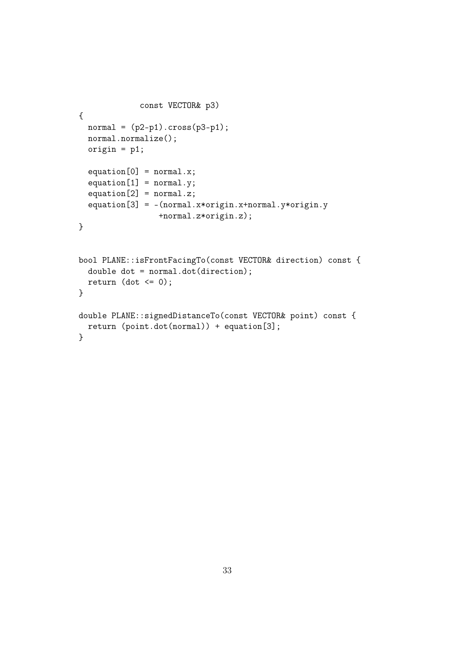```
const VECTOR& p3)
{
  normal = (p2-p1) \cdot cross(p3-p1);normal.normalize();
  origin = p1;
  equation[0] = normal.x;equation[1] = normal.y;equation[2] = normal.z;
  equation[3] = -(normal.x*origin.x+normal.y*origin.y
                 +normal.z*origin.z);
}
bool PLANE::isFrontFacingTo(const VECTOR& direction) const {
  double dot = normal.dot(direction);
  return (\text{dot} < = 0);}
double PLANE::signedDistanceTo(const VECTOR& point) const {
  return (point.dot(normal)) + equation[3];
}
```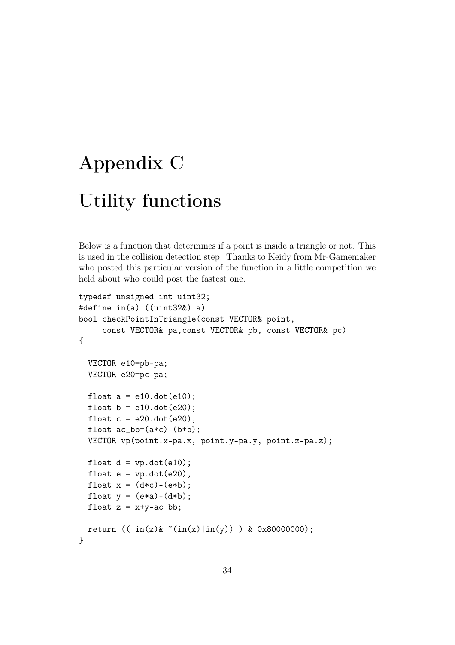# Appendix C Utility functions

Below is a function that determines if a point is inside a triangle or not. This is used in the collision detection step. Thanks to Keidy from Mr-Gamemaker who posted this particular version of the function in a little competition we held about who could post the fastest one.

```
typedef unsigned int uint32;
#define in(a) ((uint32&) a)
bool checkPointInTriangle(const VECTOR& point,
     const VECTOR& pa,const VECTOR& pb, const VECTOR& pc)
{
  VECTOR e10=pb-pa;
  VECTOR e20=pc-pa;
  float a = e10.dot(e10);
  float b = e10.dot(e20);
  float c = e20.dot(e20);
  float ac_bbc = (a*c) - (b*b);
  VECTOR vp(point.x-pa.x, point.y-pa.y, point.z-pa.z);
  float d = vp.dot(e10);float e = vp.dot(e20);float x = (d*c) - (e*b);float y = (e*a) - (d*b);
  float z = x+y-ac_b;return ((\infty)(\infty)(\infty)(\infty)) ) & 0x80000000);
}
```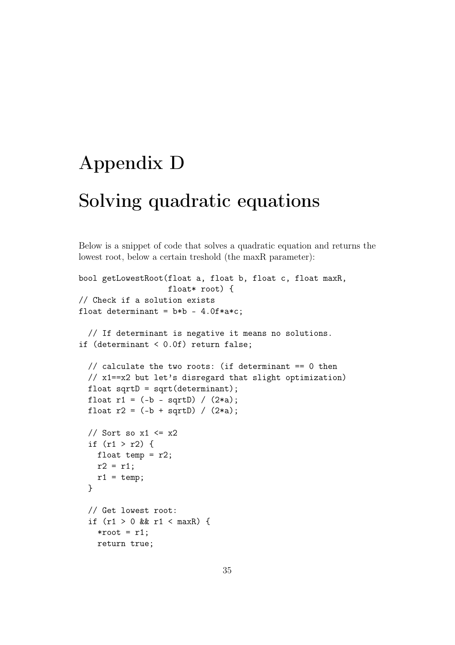### Appendix D

### Solving quadratic equations

Below is a snippet of code that solves a quadratic equation and returns the lowest root, below a certain treshold (the maxR parameter):

```
bool getLowestRoot(float a, float b, float c, float maxR,
                   float* root) {
// Check if a solution exists
float determinant = b*b - 4.0f*a*c;// If determinant is negative it means no solutions.
if (determinant < 0.0f) return false;
  // calculate the two roots: (if determinant == 0 then
  // x1==x2 but let's disregard that slight optimization)
  float sqrtD = sqrt(determinant);float r1 = (-b - sqrtD) / (2*a);float r2 = (-b + sqrtD) / (2*a);// Sort so x1 \leq x2if (r1 > r2) {
    float temp = r2;
    r2 = r1;
    r1 = \text{temp};
  }
  // Get lowest root:
  if (r1 > 0 && r1 < maxR) {
    *root = r1;
    return true;
```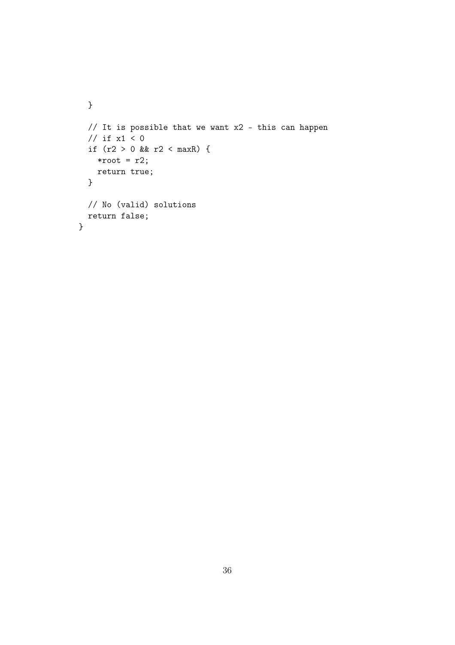```
}
 // It is possible that we want x2 - this can happen
 // if x1 < 0if (r2 > 0 && r2 < maxR) {
    *root = r2;
   return true;
  }
 // No (valid) solutions
 return false;
}
```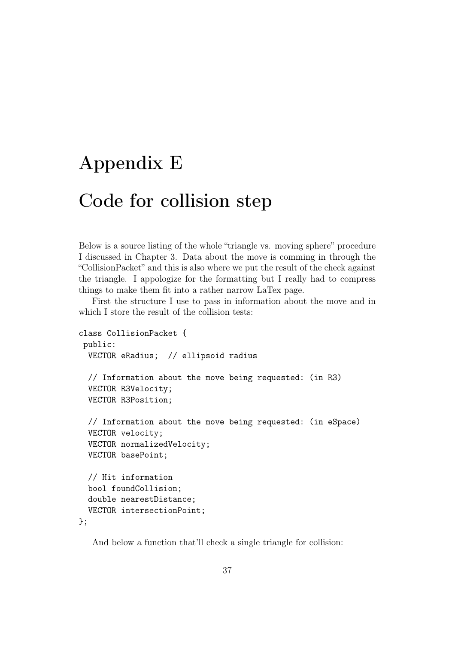### Appendix E

### Code for collision step

Below is a source listing of the whole "triangle vs. moving sphere" procedure I discussed in Chapter 3. Data about the move is comming in through the "CollisionPacket" and this is also where we put the result of the check against the triangle. I appologize for the formatting but I really had to compress things to make them fit into a rather narrow LaTex page.

First the structure I use to pass in information about the move and in which I store the result of the collision tests:

```
class CollisionPacket {
 public:
  VECTOR eRadius; // ellipsoid radius
  // Information about the move being requested: (in R3)
  VECTOR R3Velocity;
  VECTOR R3Position;
  // Information about the move being requested: (in eSpace)
  VECTOR velocity;
  VECTOR normalizedVelocity;
  VECTOR basePoint;
  // Hit information
  bool foundCollision;
  double nearestDistance;
  VECTOR intersectionPoint;
};
```
And below a function that'll check a single triangle for collision: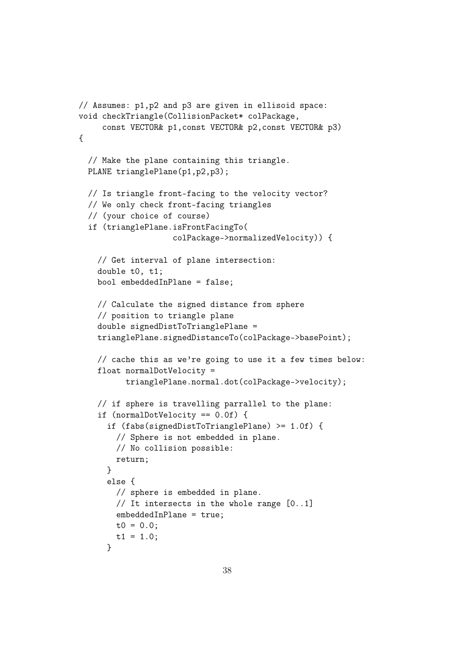```
// Assumes: p1,p2 and p3 are given in ellisoid space:
void checkTriangle(CollisionPacket* colPackage,
     const VECTOR& p1,const VECTOR& p2,const VECTOR& p3)
{
  // Make the plane containing this triangle.
  PLANE trianglePlane(p1,p2,p3);
  // Is triangle front-facing to the velocity vector?
  // We only check front-facing triangles
  // (your choice of course)
  if (trianglePlane.isFrontFacingTo(
                    colPackage->normalizedVelocity)) {
    // Get interval of plane intersection:
    double t0, t1;
    bool embeddedInPlane = false;
    // Calculate the signed distance from sphere
    // position to triangle plane
    double signedDistToTrianglePlane =
    trianglePlane.signedDistanceTo(colPackage->basePoint);
    // cache this as we're going to use it a few times below:
    float normalDotVelocity =
          trianglePlane.normal.dot(colPackage->velocity);
    // if sphere is travelling parrallel to the plane:
    if (normalDotVelocity == 0.0f) {
      if (fabs(signedDistToTrianglePlane) >= 1.0f) {
        // Sphere is not embedded in plane.
        // No collision possible:
        return;
      }
      else {
        // sphere is embedded in plane.
        // It intersects in the whole range [0..1]
        embeddedInPlane = true;
        t0 = 0.0;
        t1 = 1.0;
      }
```

```
38
```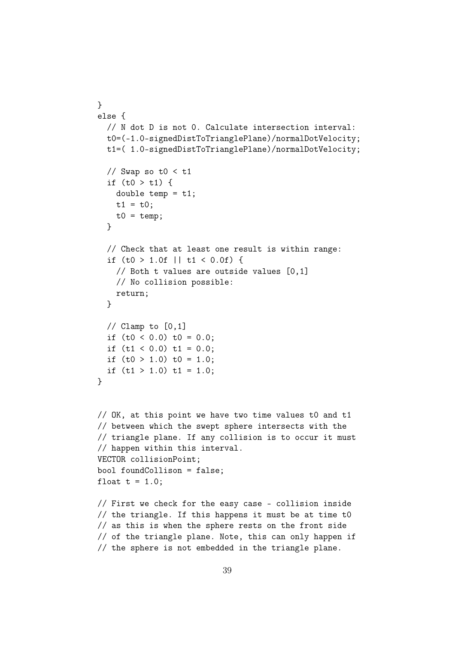```
}
else {
 // N dot D is not 0. Calculate intersection interval:
 t0=(-1.0-signedDistToTrianglePlane)/normalDotVelocity;
 t1=( 1.0-signedDistToTrianglePlane)/normalDotVelocity;
 // Swap so t0 < t1if (t0 > t1) {
   double temp = t1;
   t1 = t0;t0 = temp;}
 // Check that at least one result is within range:
 if (t0 > 1.0f || t1 < 0.0f) {
   // Both t values are outside values [0,1]
   // No collision possible:
   return;
 }
 // Clamp to [0,1]if (t0 < 0.0) t0 = 0.0;
 if (t1 < 0.0) t1 = 0.0;
 if (t0 > 1.0) t0 = 1.0;
 if (t1 > 1.0) t1 = 1.0;
}
// OK, at this point we have two time values t0 and t1
// between which the swept sphere intersects with the
// triangle plane. If any collision is to occur it must
// happen within this interval.
VECTOR collisionPoint;
bool foundCollison = false;
float t = 1.0;
// First we check for the easy case - collision inside
// the triangle. If this happens it must be at time t0
// as this is when the sphere rests on the front side
// of the triangle plane. Note, this can only happen if
// the sphere is not embedded in the triangle plane.
```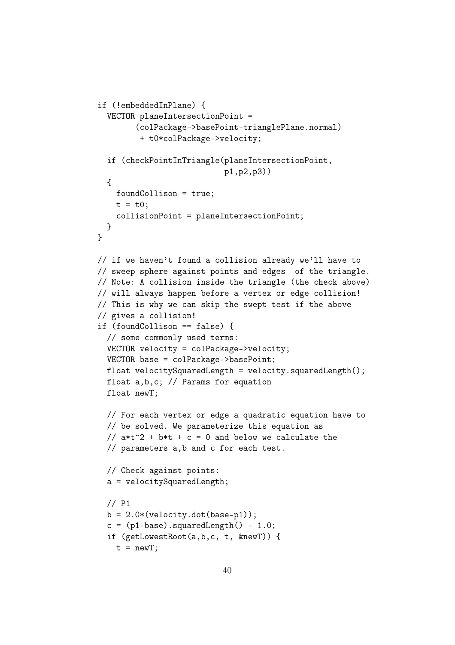```
if (!embeddedInPlane) {
  VECTOR planeIntersectionPoint =
        (colPackage->basePoint-trianglePlane.normal)
         + t0*colPackage->velocity;
  if (checkPointInTriangle(planeIntersectionPoint,
                           p1,p2,p3))
 {
   foundCollison = true;
   t = t0:
   collisionPoint = planeIntersectionPoint;
 }
}
// if we haven't found a collision already we'll have to
// sweep sphere against points and edges of the triangle.
// Note: A collision inside the triangle (the check above)
// will always happen before a vertex or edge collision!
// This is why we can skip the swept test if the above
// gives a collision!
if (foundCollison == false) {
 // some commonly used terms:
 VECTOR velocity = colPackage->velocity;
 VECTOR base = colPackage->basePoint;
 float velocitySquaredLength = velocity.squaredLength();
 float a,b,c; // Params for equation
 float newT;
 // For each vertex or edge a quadratic equation have to
 // be solved. We parameterize this equation as
 // a*t^2 + b*t + c = 0 and below we calculate the
 // parameters a,b and c for each test.
 // Check against points:
 a = velocitySquaredLength;
 // P1
 b = 2.0*(velocity.dot(base-p1));c = (p1-base). squaredLength() - 1.0;
  if (getLowestRoot(a,b,c, t, &newT)) {
   t = newT;
```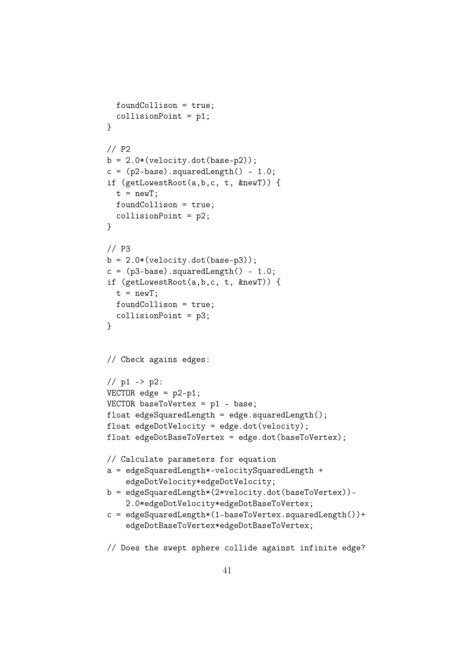```
foundCollison = true;
  collisionPoint = p1;
}
// P2
b = 2.0*(velocity.dot(base-p2));c = (p2-base).squaredLength() - 1.0;
if (getLowestRoot(a,b,c, t, &newT)) {
  t = newT;
  foundCollison = true;
  collisionPoint = p2;
}
// P3
b = 2.0*(velocity.dot(base-p3));c = (p3-base).squaredLength() - 1.0;
if (getLowestRoot(a,b,c, t, &newT)) {
  t = newT:
  foundCollison = true;
  collisionPoint = p3;
}
// Check agains edges:
// p1 - p2:
VECTOR edge = p2-p1;
VECTOR baseToVertex = p1 - base;
float edgeSquaredLength = edge.squaredLength();
float edgeDotVelocity = edge.dot(velocity);
float edgeDotBaseToVertex = edge.dot(baseToVertex);
// Calculate parameters for equation
a = edgeSquaredLength*-velocitySquaredLength +
    edgeDotVelocity*edgeDotVelocity;
b = edgeSquaredLength*(2*velocity.dot(baseToVertex))-
    2.0*edgeDotVelocity*edgeDotBaseToVertex;
c = edgeSquaredLength*(1-baseToVertex.squaredLength())+
    edgeDotBaseToVertex*edgeDotBaseToVertex;
// Does the swept sphere collide against infinite edge?
```
41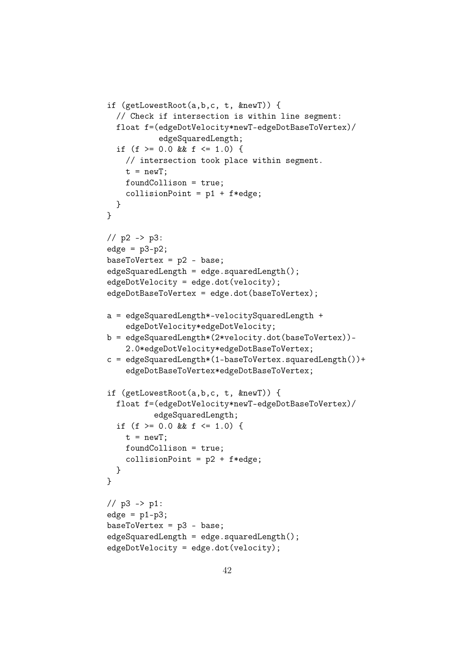```
if (getLowestRoot(a,b,c, t, &newT)) {
  // Check if intersection is within line segment:
  float f=(edgeDotVelocity*newT-edgeDotBaseToVertex)/
           edgeSquaredLength;
  if (f > = 0.0 && f \le 1.0 {
    // intersection took place within segment.
    t = newT;foundCollison = true;
    collisionPoint = p1 + f * edge;}
}
// p2 -> p3:
edge = p3-p2;baseToVertex = p2 - base;
edgeSquaredLength = edge.squaredLength();
edgeDotVelocity = edge.dot(velocity);
edgeDotBaseToVertex = edge.dot(baseToVertex);
a = edgeSquaredLength*-velocitySquaredLength +
    edgeDotVelocity*edgeDotVelocity;
b = edgeSquaredLength*(2*velocity.dot(baseToVertex))-
    2.0*edgeDotVelocity*edgeDotBaseToVertex;
c = edgeSquaredLength*(1-baseToVertex.\square squaredLength()) +edgeDotBaseToVertex*edgeDotBaseToVertex;
if (getLowestRoot(a,b,c, t, &newT)) {
  float f=(edgeDotVelocity*newT-edgeDotBaseToVertex)/
          edgeSquaredLength;
  if (f > = 0.0 && f \leq 1.0 {
    t = newT;foundCollison = true;
    collisionPoint = p2 + f * edge;}
}
// p3 -> p1:
edge = p1-p3;baseToVertex = p3 - base;
edgeSquaredLength = edge.squaredLength();
edgeDotVelocity = edge.dot(velocity);
```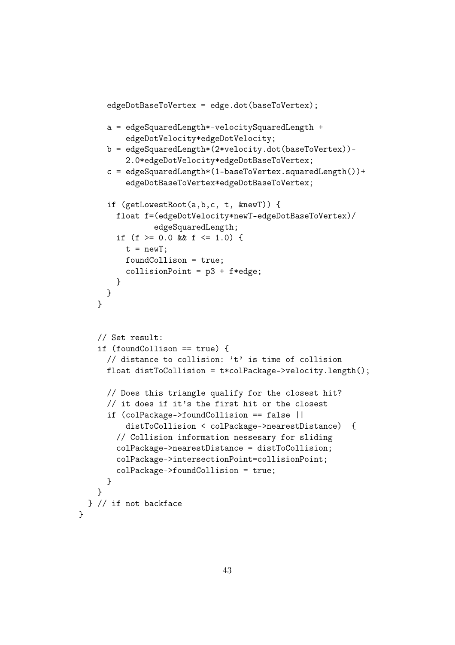```
edgeDotBaseToVertex = edge.dot(baseToVertex);
```

```
a = edgeSquaredLength*-velocitySquaredLength +
        edgeDotVelocity*edgeDotVelocity;
   b = edgeSquaredLength*(2*velocity.dot(baseToVertex))-
        2.0*edgeDotVelocity*edgeDotBaseToVertex;
    c = edgeSquaredLength*(1-baseToVertex.squaredLength())+
        edgeDotBaseToVertex*edgeDotBaseToVertex;
    if (getLowestRoot(a,b,c, t, &newT)) {
      float f=(edgeDotVelocity*newT-edgeDotBaseToVertex)/
              edgeSquaredLength;
      if (f > = 0.0 && f \le 1.0 {
        t = newT:
        foundCollison = true;
        collisionPoint = p3 + f * edge;
     }
   }
 }
 // Set result:
  if (foundCollison == true) {
   // distance to collision: 't' is time of collision
   float distToCollision = t*colPackage->velocity.length();
   // Does this triangle qualify for the closest hit?
   // it does if it's the first hit or the closest
    if (colPackage->foundCollision == false ||
        distToCollision < colPackage->nearestDistance) {
      // Collision information nessesary for sliding
      colPackage->nearestDistance = distToCollision;
      colPackage->intersectionPoint=collisionPoint;
      colPackage->foundCollision = true;
   }
 }
} // if not backface
```
}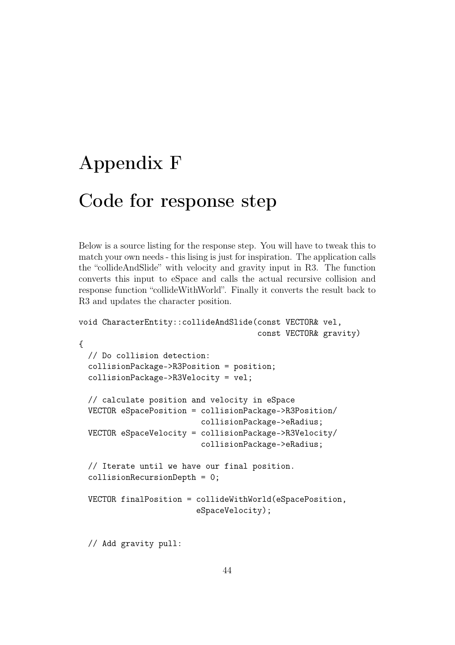### Appendix F

### Code for response step

Below is a source listing for the response step. You will have to tweak this to match your own needs - this lising is just for inspiration. The application calls the "collideAndSlide" with velocity and gravity input in R3. The function converts this input to eSpace and calls the actual recursive collision and response function "collideWithWorld". Finally it converts the result back to R3 and updates the character position.

```
void CharacterEntity::collideAndSlide(const VECTOR& vel,
                                      const VECTOR& gravity)
{
  // Do collision detection:
  collisionPackage->R3Position = position;
  collisionPackage->R3Velocity = vel;
  // calculate position and velocity in eSpace
  VECTOR eSpacePosition = collisionPackage->R3Position/
                          collisionPackage->eRadius;
  VECTOR eSpaceVelocity = collisionPackage->R3Velocity/
                          collisionPackage->eRadius;
  // Iterate until we have our final position.
  collisionRecursionDepth = 0;
  VECTOR finalPosition = collideWithWorld(eSpacePosition,
                         eSpaceVelocity);
  // Add gravity pull:
```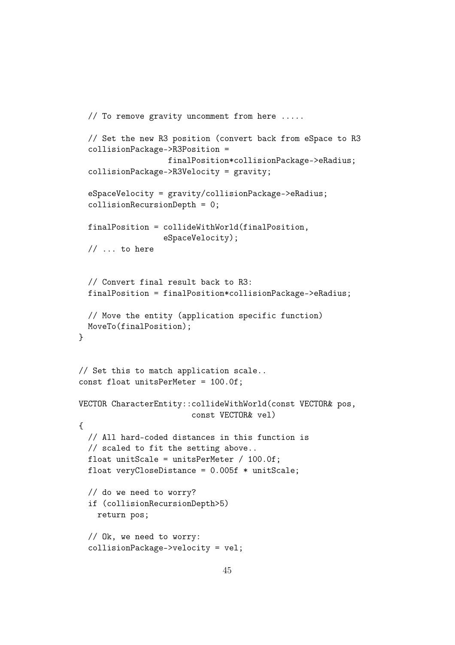```
// To remove gravity uncomment from here .....
  // Set the new R3 position (convert back from eSpace to R3
  collisionPackage->R3Position =
                   finalPosition*collisionPackage->eRadius;
  collisionPackage->R3Velocity = gravity;
  eSpaceVelocity = gravity/collisionPackage->eRadius;
  collisionRecursionDepth = 0;
  finalPosition = collideWithWorld(finalPosition,
                  eSpaceVelocity);
  // ... to here
  // Convert final result back to R3:
  finalPosition = finalPosition*collisionPackage->eRadius;
  // Move the entity (application specific function)
 MoveTo(finalPosition);
}
// Set this to match application scale..
const float unitsPerMeter = 100.0f;
VECTOR CharacterEntity::collideWithWorld(const VECTOR& pos,
                        const VECTOR& vel)
{
  // All hard-coded distances in this function is
  // scaled to fit the setting above..
  float unitScale = unitsPerMeter / 100.0f;
  float veryCloseDistance = 0.005f * unitScale;
  // do we need to worry?
  if (collisionRecursionDepth>5)
    return pos;
  // Ok, we need to worry:
  collisionPackage->velocity = vel;
```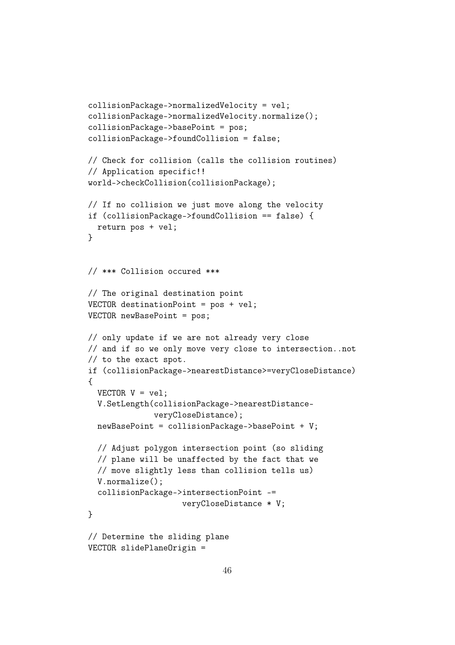```
collisionPackage->normalizedVelocity = vel;
collisionPackage->normalizedVelocity.normalize();
collisionPackage->basePoint = pos;
collisionPackage->foundCollision = false;
// Check for collision (calls the collision routines)
// Application specific!!
world->checkCollision(collisionPackage);
// If no collision we just move along the velocity
if (collisionPackage->foundCollision == false) {
 return pos + vel;
}
// *** Collision occured ***
// The original destination point
VECTOR destinationPoint = pos + vel;
VECTOR newBasePoint = pos;
// only update if we are not already very close
// and if so we only move very close to intersection..not
// to the exact spot.
if (collisionPackage->nearestDistance>=veryCloseDistance)
{
 VECTOR V = vel;V.SetLength(collisionPackage->nearestDistance-
              veryCloseDistance);
 newBasePoint = collisionPackage->basePoint + V;
 // Adjust polygon intersection point (so sliding
 // plane will be unaffected by the fact that we
 // move slightly less than collision tells us)
 V.normalize();
 collisionPackage->intersectionPoint -=
                    veryCloseDistance * V;
}
// Determine the sliding plane
VECTOR slidePlaneOrigin =
```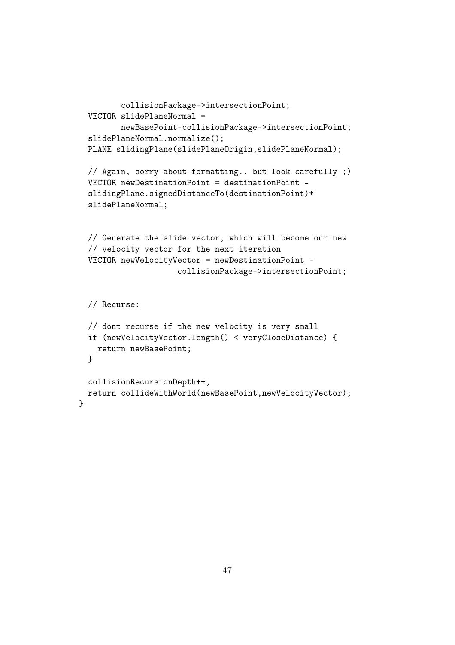```
collisionPackage->intersectionPoint;
 VECTOR slidePlaneNormal =
        newBasePoint-collisionPackage->intersectionPoint;
 slidePlaneNormal.normalize();
 PLANE slidingPlane(slidePlaneOrigin,slidePlaneNormal);
 // Again, sorry about formatting.. but look carefully ;)
 VECTOR newDestinationPoint = destinationPoint -
 slidingPlane.signedDistanceTo(destinationPoint)*
 slidePlaneNormal;
 // Generate the slide vector, which will become our new
 // velocity vector for the next iteration
 VECTOR newVelocityVector = newDestinationPoint -
                     collisionPackage->intersectionPoint;
 // Recurse:
 // dont recurse if the new velocity is very small
 if (newVelocityVector.length() < veryCloseDistance) {
   return newBasePoint;
 }
 collisionRecursionDepth++;
 return collideWithWorld(newBasePoint,newVelocityVector);
}
```